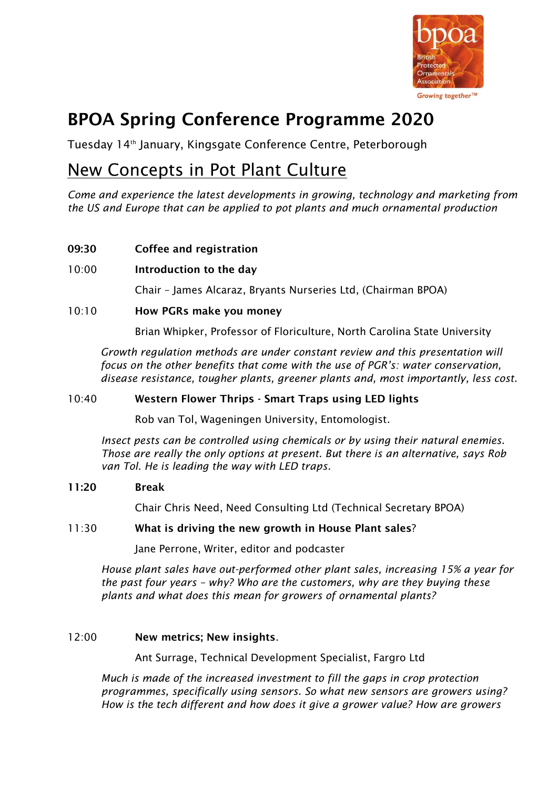

# BPOA Spring Conference Programme 2020

Tuesday 14th January, Kingsgate Conference Centre, Peterborough

## New Concepts in Pot Plant Culture

*Come and experience the latest developments in growing, technology and marketing from the US and Europe that can be applied to pot plants and much ornamental production* 

## 09:30 Coffee and registration

## 10:00 Introduction to the day

Chair – James Alcaraz, Bryants Nurseries Ltd, (Chairman BPOA)

#### 10:10 **How PGRs make you money**

Brian Whipker, Professor of Floriculture, North Carolina State University

*Growth regulation methods are under constant review and this presentation will focus on the other benefits that come with the use of PGR's: water conservation, disease resistance, tougher plants, greener plants and, most importantly, less cost.*

## 10:40 Western Flower Thrips - Smart Traps using LED lights

Rob van Tol, Wageningen University, Entomologist.

*Insect pests can be controlled using chemicals or by using their natural enemies. Those are really the only options at present. But there is an alternative, says Rob van Tol. He is leading the way with LED traps.*

## 11:20 Break

Chair Chris Need, Need Consulting Ltd (Technical Secretary BPOA)

## 11:30 What is driving the new growth in House Plant sales?

Jane Perrone, Writer, editor and podcaster

*House plant sales have out-performed other plant sales, increasing 15% a year for the past four years – why? Who are the customers, why are they buying these plants and what does this mean for growers of ornamental plants?* 

#### 12:00 New metrics; New insights.

Ant Surrage, Technical Development Specialist, Fargro Ltd

*Much is made of the increased investment to fill the gaps in crop protection programmes, specifically using sensors. So what new sensors are growers using? How is the tech different and how does it give a grower value? How are growers*